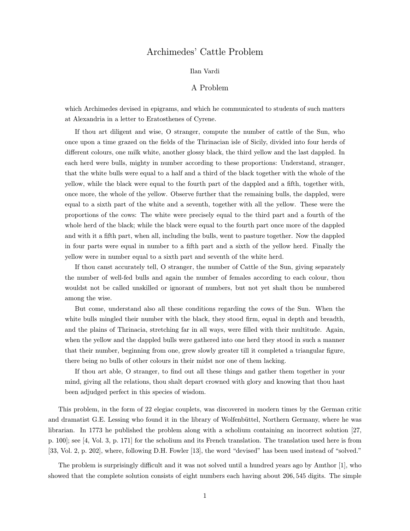# Archimedes' Cattle Problem

### Ilan Vardi

## A Problem

which Archimedes devised in epigrams, and which he communicated to students of such matters at Alexandria in a letter to Eratosthenes of Cyrene.

If thou art diligent and wise, O stranger, compute the number of cattle of the Sun, who once upon a time grazed on the fields of the Thrinacian isle of Sicily, divided into four herds of different colours, one milk white, another glossy black, the third yellow and the last dappled. In each herd were bulls, mighty in number according to these proportions: Understand, stranger, that the white bulls were equal to a half and a third of the black together with the whole of the yellow, while the black were equal to the fourth part of the dappled and a fifth, together with, once more, the whole of the yellow. Observe further that the remaining bulls, the dappled, were equal to a sixth part of the white and a seventh, together with all the yellow. These were the proportions of the cows: The white were precisely equal to the third part and a fourth of the whole herd of the black; while the black were equal to the fourth part once more of the dappled and with it a fifth part, when all, including the bulls, went to pasture together. Now the dappled in four parts were equal in number to a fifth part and a sixth of the yellow herd. Finally the yellow were in number equal to a sixth part and seventh of the white herd.

If thou canst accurately tell, O stranger, the number of Cattle of the Sun, giving separately the number of well-fed bulls and again the number of females according to each colour, thou wouldst not be called unskilled or ignorant of numbers, but not yet shalt thou be numbered among the wise.

But come, understand also all these conditions regarding the cows of the Sun. When the white bulls mingled their number with the black, they stood firm, equal in depth and breadth, and the plains of Thrinacia, stretching far in all ways, were filled with their multitude. Again, when the yellow and the dappled bulls were gathered into one herd they stood in such a manner that their number, beginning from one, grew slowly greater till it completed a triangular figure, there being no bulls of other colours in their midst nor one of them lacking.

If thou art able, O stranger, to find out all these things and gather them together in your mind, giving all the relations, thou shalt depart crowned with glory and knowing that thou hast been adjudged perfect in this species of wisdom.

This problem, in the form of 22 elegiac couplets, was discovered in modern times by the German critic and dramatist G.E. Lessing who found it in the library of Wolfenbüttel, Northern Germany, where he was librarian. In 1773 he published the problem along with a scholium containing an incorrect solution [27, p. 100]; see [4, Vol. 3, p. 171] for the scholium and its French translation. The translation used here is from [33, Vol. 2, p. 202], where, following D.H. Fowler [13], the word "devised" has been used instead of "solved."

The problem is surprisingly difficult and it was not solved until a hundred years ago by Amthor [1], who showed that the complete solution consists of eight numbers each having about 206, 545 digits. The simple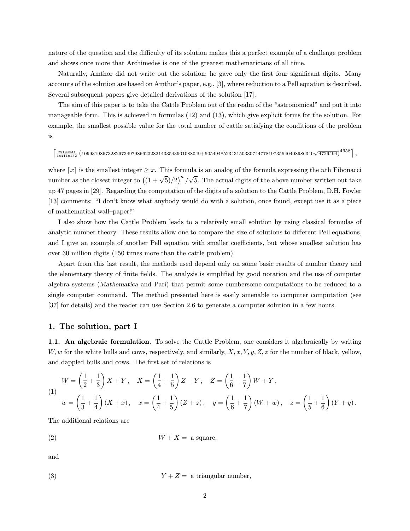nature of the question and the difficulty of its solution makes this a perfect example of a challenge problem and shows once more that Archimedes is one of the greatest mathematicians of all time.

Naturally, Amthor did not write out the solution; he gave only the first four significant digits. Many accounts of the solution are based on Amthor's paper, e.g., [3], where reduction to a Pell equation is described. Several subsequent papers give detailed derivations of the solution [17].

The aim of this paper is to take the Cattle Problem out of the realm of the "astronomical" and put it into manageable form. This is achieved in formulas (12) and (13), which give explicit forms for the solution. For example, the smallest possible value for the total number of cattle satisfying the conditions of the problem is

 $\left\lceil \frac{25194541}{184119152} \left( 109931986732829734979866232821433543901088049+50549485234315033074477819735540408986340 \sqrt{4729494} \right)^4658 \right\rceil ,$ 

where  $\lceil x \rceil$  is the smallest integer  $\geq x$ . This formula is an analog of the formula expressing the nth Fibonacci number as the closest integer to  $((1 + \sqrt{5})/2)^n / \sqrt{5}$ . The actual digits of the above number written out take up 47 pages in [29]. Regarding the computation of the digits of a solution to the Cattle Problem, D.H. Fowler [13] comments: "I don't know what anybody would do with a solution, once found, except use it as a piece of mathematical wall–paper!"

I also show how the Cattle Problem leads to a relatively small solution by using classical formulas of analytic number theory. These results allow one to compare the size of solutions to different Pell equations, and I give an example of another Pell equation with smaller coefficients, but whose smallest solution has over 30 million digits (150 times more than the cattle problem).

Apart from this last result, the methods used depend only on some basic results of number theory and the elementary theory of finite fields. The analysis is simplified by good notation and the use of computer algebra systems (Mathematica and Pari) that permit some cumbersome computations to be reduced to a single computer command. The method presented here is easily amenable to computer computation (see [37] for details) and the reader can use Section 2.6 to generate a computer solution in a few hours.

#### 1. The solution, part I

1.1. An algebraic formulation. To solve the Cattle Problem, one considers it algebraically by writing W, w for the white bulls and cows, respectively, and similarly,  $X, x, Y, y, Z, z$  for the number of black, yellow, and dappled bulls and cows. The first set of relations is

(1)  
\n
$$
W = \left(\frac{1}{2} + \frac{1}{3}\right)X + Y, \quad X = \left(\frac{1}{4} + \frac{1}{5}\right)Z + Y, \quad Z = \left(\frac{1}{6} + \frac{1}{7}\right)W + Y,
$$
\n
$$
w = \left(\frac{1}{3} + \frac{1}{4}\right)(X + x), \quad x = \left(\frac{1}{4} + \frac{1}{5}\right)(Z + z), \quad y = \left(\frac{1}{6} + \frac{1}{7}\right)(W + w), \quad z = \left(\frac{1}{5} + \frac{1}{6}\right)(Y + y).
$$

The additional relations are

$$
(2) \t\t W + X = \text{ a square},
$$

and

$$
(3) \t Y + Z = \text{ a triangular number},
$$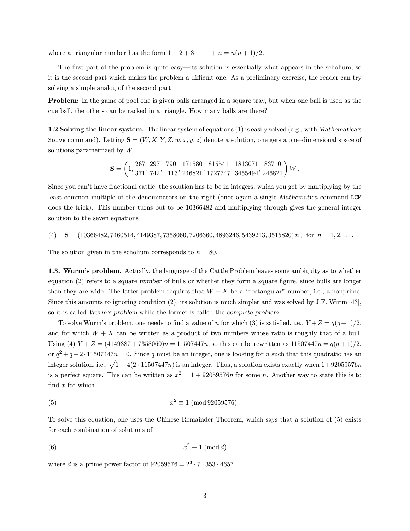where a triangular number has the form  $1 + 2 + 3 + \cdots + n = n(n + 1)/2$ .

The first part of the problem is quite easy—its solution is essentially what appears in the scholium, so it is the second part which makes the problem a difficult one. As a preliminary exercise, the reader can try solving a simple analog of the second part

Problem: In the game of pool one is given balls arranged in a square tray, but when one ball is used as the cue ball, the others can be racked in a triangle. How many balls are there?

1.2 Solving the linear system. The linear system of equations (1) is easily solved (e.g., with Mathematica's Solve command). Letting  $S = (W, X, Y, Z, w, x, y, z)$  denote a solution, one gets a one-dimensional space of solutions parametrized by W

$$
\mathbf{S}=\left(1, \frac{267}{371}, \frac{297}{742}, \frac{790}{1113}, \frac{171580}{246821}, \frac{815541}{1727747}, \frac{1813071}{3455494}, \frac{83710}{246821}\right)W\,.
$$

Since you can't have fractional cattle, the solution has to be in integers, which you get by multiplying by the least common multiple of the denominators on the right (once again a single Mathematica command LCM does the trick). This number turns out to be 10366482 and multiplying through gives the general integer solution to the seven equations

(4)  $S = (10366482, 7460514, 4149387, 7358060, 7206360, 4893246, 5439213, 3515820) n$ , for  $n = 1, 2, \ldots$ 

The solution given in the scholium corresponds to  $n = 80$ .

1.3. Wurm's problem. Actually, the language of the Cattle Problem leaves some ambiguity as to whether equation (2) refers to a square number of bulls or whether they form a square figure, since bulls are longer than they are wide. The latter problem requires that  $W + X$  be a "rectangular" number, i.e., a nonprime. Since this amounts to ignoring condition (2), its solution is much simpler and was solved by J.F. Wurm [43], so it is called Wurm's problem while the former is called the complete problem.

To solve Wurm's problem, one needs to find a value of n for which (3) is satisfied, i.e.,  $Y + Z = q(q+1)/2$ , and for which  $W + X$  can be written as a product of two numbers whose ratio is roughly that of a bull. Using (4)  $Y + Z = (4149387 + 7358060)n = 11507447n$ , so this can be rewritten as  $11507447n = q(q+1)/2$ , or  $q^2 + q - 2 \cdot 11507447n = 0$ . Since q must be an integer, one is looking for n such that this quadratic has an integer solution, i.e.,  $\sqrt{1 + 4(2 \cdot 11507447n)}$  is an integer. Thus, a solution exists exactly when  $1+92059576n$ is a perfect square. This can be written as  $x^2 = 1 + 92059576n$  for some n. Another way to state this is to find  $x$  for which

(5) 
$$
x^2 \equiv 1 \pmod{92059576}
$$
.

To solve this equation, one uses the Chinese Remainder Theorem, which says that a solution of (5) exists for each combination of solutions of

$$
x^2 \equiv 1 \pmod{d}
$$

where d is a prime power factor of  $92059576 = 2^3 \cdot 7 \cdot 353 \cdot 4657$ .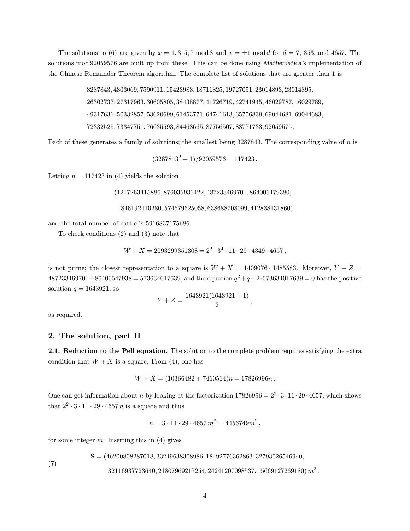The solutions to (6) are given by  $x = 1, 3, 5, 7 \mod 8$  and  $x = \pm 1 \mod d$  for  $d = 7, 353$ , and 4657. The solutions mod 92059576 are built up from these. This can be done using Mathematica's implementation of the Chinese Remainder Theorem algorithm. The complete list of solutions that are greater than 1 is

> , 4303069, 7590911, 15423983, 18711825, 19727051, 23014893, 23014895, , 27317963, 30605805, 38438877, 41726719, 42741945, 46029787, 46029789, , 50332857, 53620699, 61453771, 64741613, 65756839, 69044681, 69044683, , 73347751, 76635593, 84468665, 87756507, 88771733, 92059575 .

Each of these generates a family of solutions; the smallest being 3287843. The corresponding value of n is

 $(3287843<sup>2</sup> - 1)/92059576 = 117423$ .

Letting  $n = 117423$  in (4) yields the solution

(1217263415886, 876035935422, 487233469701, 864005479380,

846192410280, 574579625058, 638688708099, 412838131860),

and the total number of cattle is 5916837175686.

To check conditions (2) and (3) note that

 $W + X = 2093299351308 = 2^2 \cdot 3^4 \cdot 11 \cdot 29 \cdot 4349 \cdot 4657$ ,

is not prime; the closest representation to a square is  $W + X = 1409076 \cdot 1485583$ . Moreover,  $Y + Z =$  $487233469701+86400547938 = 573634017639$ , and the equation  $q^2+q-2.573634017639 = 0$  has the positive solution  $q = 1643921$ , so

$$
Y + Z = \frac{1643921(1643921+1)}{2},
$$

as required.

## 2. The solution, part II

2.1. Reduction to the Pell equation. The solution to the complete problem requires satisfying the extra condition that  $W + X$  is a square. From (4), one has

$$
W + X = (10366482 + 7460514)n = 17826996n.
$$

One can get information about n by looking at the factorization  $17826996 = 2^2 \cdot 3 \cdot 11 \cdot 29 \cdot 4657$ , which shows that  $2^2 \cdot 3 \cdot 11 \cdot 29 \cdot 4657 n$  is a square and thus

$$
n = 3 \cdot 11 \cdot 29 \cdot 4657 m^2 = 4456749 m^2,
$$

for some integer  $m$ . Inserting this in  $(4)$  gives

 $S = (46200808287018, 33249638308986, 18492776362863, 32793026546940,$ 

 $32116937723640, 21807969217254, 24241207098537, 15669127269180) \, m^2 \,.$ 

```
(7)
```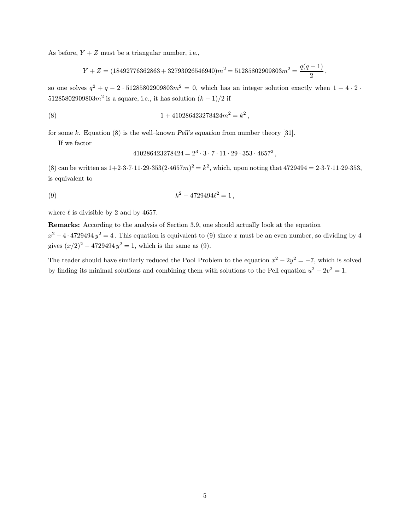As before,  $Y + Z$  must be a triangular number, i.e.,

$$
Y + Z = (18492776362863 + 32793026546940)m^2 = 51285802909803m^2 = \frac{q(q+1)}{2},
$$

so one solves  $q^2 + q - 2 \cdot 51285802909803m^2 = 0$ , which has an integer solution exactly when  $1 + 4 \cdot 2 \cdot$ 51285802909803 $m^2$  is a square, i.e., it has solution  $(k-1)/2$  if

(8) 
$$
1 + 410286423278424m^2 = k^2,
$$

for some k. Equation  $(8)$  is the well–known Pell's equation from number theory [31].

If we factor

$$
410286423278424 = 2^3 \cdot 3 \cdot 7 \cdot 11 \cdot 29 \cdot 353 \cdot 4657^2,
$$

(8) can be written as  $1+2\cdot3\cdot7\cdot11\cdot29\cdot353(2\cdot4657m)^2 = k^2$ , which, upon noting that  $4729494 = 2\cdot3\cdot7\cdot11\cdot29\cdot353$ , is equivalent to

(9) 
$$
k^2 - 4729494\ell^2 = 1,
$$

where  $\ell$  is divisible by 2 and by 4657.

Remarks: According to the analysis of Section 3.9, one should actually look at the equation  $x^2 - 4 \cdot 4729494 \, y^2 = 4$ . This equation is equivalent to (9) since x must be an even number, so dividing by 4 gives  $(x/2)^2 - 4729494 y^2 = 1$ , which is the same as (9).

The reader should have similarly reduced the Pool Problem to the equation  $x^2 - 2y^2 = -7$ , which is solved by finding its minimal solutions and combining them with solutions to the Pell equation  $u^2 - 2v^2 = 1$ .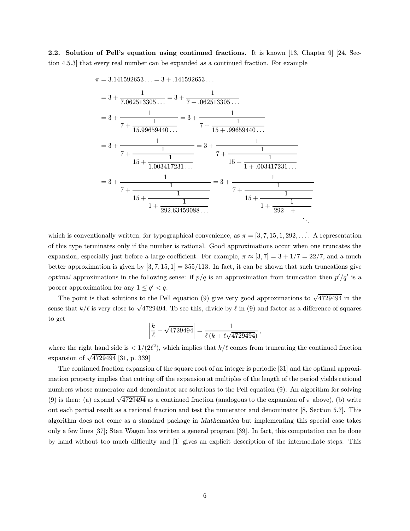2.2. Solution of Pell's equation using continued fractions. It is known [13, Chapter 9] [24, Section 4.5.3] that every real number can be expanded as a continued fraction. For example

$$
\pi = 3.141592653... = 3 + .141592653...
$$
\n
$$
= 3 + \frac{1}{7.062513305...} = 3 + \frac{1}{7 + .062513305...}
$$
\n
$$
= 3 + \frac{1}{7 + \frac{1}{15.99659440...}} = 3 + \frac{1}{7 + \frac{1}{15 + .99659440...}}
$$
\n
$$
= 3 + \frac{1}{7 + \frac{1}{1.003417231...}} = 3 + \frac{1}{7 + \frac{1}{1.003417231...}}
$$
\n
$$
= 3 + \frac{1}{7 + \frac{1}{1.003417231...}} = 3 + \frac{1}{7 + \frac{1}{1.003417231...}}
$$
\n
$$
= 3 + \frac{1}{7 + \frac{1}{1.003417231...}} = 3 + \frac{1}{7 + \frac{1}{1.003417231...}}
$$
\n
$$
= 1 + \frac{1}{292.63459088...}
$$

which is conventionally written, for typographical convenience, as  $\pi = [3, 7, 15, 1, 292, \ldots]$ . A representation of this type terminates only if the number is rational. Good approximations occur when one truncates the expansion, especially just before a large coefficient. For example,  $\pi \approx [3, 7] = 3 + 1/7 = 22/7$ , and a much better approximation is given by  $[3, 7, 15, 1] = 355/113$ . In fact, it can be shown that such truncations give optimal approximations in the following sense: if  $p/q$  is an approximation from truncation then  $p'/q'$  is a poorer approximation for any  $1 \leq q' < q$ .

The point is that solutions to the Pell equation (9) give very good approximations to  $\sqrt{4729494}$  in the sense that  $k/\ell$  is very close to  $\sqrt{4729494}$ . To see this, divide by  $\ell$  in (9) and factor as a difference of squares to get

$$
\left| \frac{k}{\ell} - \sqrt{4729494} \right| = \frac{1}{\ell \left( k + \ell \sqrt{4729494} \right)},
$$

where the right hand side is  $\langle 1/(2\ell^2)$ , which implies that  $k/\ell$  comes from truncating the continued fraction expansion of  $\sqrt{4729494}$  [31, p. 339]

The continued fraction expansion of the square root of an integer is periodic [31] and the optimal approximation property implies that cutting off the expansion at multiples of the length of the period yields rational numbers whose numerator and denominator are solutions to the Pell equation (9). An algorithm for solving (9) is then: (a) expand  $\sqrt{4729494}$  as a continued fraction (analogous to the expansion of  $\pi$  above), (b) write out each partial result as a rational fraction and test the numerator and denominator [8, Section 5.7]. This algorithm does not come as a standard package in Mathematica but implementing this special case takes only a few lines [37]; Stan Wagon has written a general program [39]. In fact, this computation can be done by hand without too much difficulty and [1] gives an explicit description of the intermediate steps. This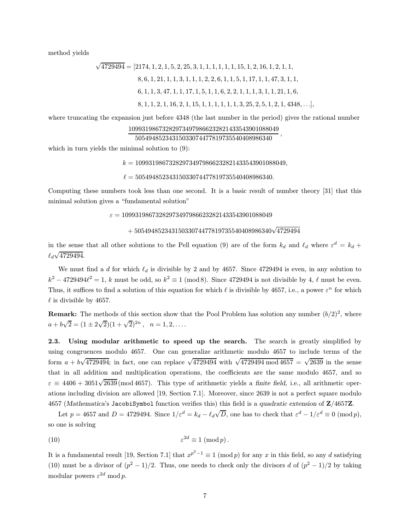method yields

$$
\sqrt{4729494} = [2174, 1, 2, 1, 5, 2, 25, 3, 1, 1, 1, 1, 1, 1, 1, 1, 2, 16, 1, 2, 1, 1, 1, 8, 6, 1, 21, 1, 1, 3, 1, 1, 1, 2, 2, 6, 1, 1, 5, 1, 17, 1, 1, 47, 3, 1, 1, 6, 1, 1, 3, 47, 1, 1, 1, 7, 1, 5, 1, 1, 6, 2, 2, 1, 1, 1, 1, 3, 1, 1, 21, 1, 6, 8, 1, 1, 2, 1, 16, 2, 1, 15, 1, 1, 1, 1, 1, 1, 1, 3, 25, 2, 5, 1, 2, 1, 4348, ...],
$$

where truncating the expansion just before 4348 (the last number in the period) gives the rational number

```
109931986732829734979866232821433543901088049
```
<sup>50549485234315033074477819735540408986340</sup> ,

which in turn yields the minimal solution to (9):

 $k = 109931986732829734979866232821433543901088049,$ 

 $\ell = 50549485234315033074477819735540408986340.$ 

Computing these numbers took less than one second. It is a basic result of number theory [31] that this minimal solution gives a "fundamental solution"

 $\varepsilon = 109931986732829734979866232821433543901088049$ 

$$
+\, 50549485234315033074477819735540408986340 \sqrt{4729494}
$$

in the sense that all other solutions to the Pell equation (9) are of the form  $k_d$  and  $\ell_d$  where  $\varepsilon^d = k_d + \ell_d$  $\ell_d\surd 4729494.$ 

We must find a d for which  $\ell_d$  is divisible by 2 and by 4657. Since 4729494 is even, in any solution to  $k^2 - 4729494\ell^2 = 1$ , k must be odd, so  $k^2 \equiv 1 \pmod{8}$ . Since 4729494 is not divisible by 4,  $\ell$  must be even. Thus, it suffices to find a solution of this equation for which  $\ell$  is divisible by 4657, i.e., a power  $\varepsilon^n$  for which  $\ell$  is divisible by 4657.

**Remark:** The methods of this section show that the Pool Problem has solution any number  $(b/2)^2$ , where  $a + b\sqrt{2} = (1 \pm 2\sqrt{2})(1 + \sqrt{2})^{2n}, \quad n = 1, 2, \ldots$ 

2.3. Using modular arithmetic to speed up the search. The search is greatly simplified by using congruences modulo 4657. One can generalize arithmetic modulo 4657 to include terms of the form  $a + b\sqrt{4729494}$ ; in fact, one can replace  $\sqrt{4729494}$  with  $\sqrt{4729494 \text{ mod } 4657} = \sqrt{2639}$  in the sense that in all addition and multiplication operations, the coefficients are the same modulo 4657, and so  $\varepsilon \equiv 4406 + 3051\sqrt{2639}$  (mod 4657). This type of arithmetic yields a finite field, i.e., all arithmetic operations including division are allowed [19, Section 7.1]. Moreover, since 2639 is not a perfect square modulo 4657 (Mathematica's JacobiSymbol function verifies this) this field is a quadratic extension of Z/4657Z.

Let  $p = 4657$  and  $D = 4729494$ . Since  $1/\varepsilon^d = k_d - \ell_d \sqrt{D}$ , one has to check that  $\varepsilon^d - 1/\varepsilon^d \equiv 0 \pmod{p}$ , so one is solving

$$
\varepsilon^{2d} \equiv 1 \pmod{p}.
$$

It is a fundamental result [19, Section 7.1] that  $x^{p^2-1} \equiv 1 \pmod{p}$  for any x in this field, so any d satisfying (10) must be a divisor of  $(p^2 - 1)/2$ . Thus, one needs to check only the divisors d of  $(p^2 - 1)/2$  by taking modular powers  $\varepsilon^{2d}$  mod p.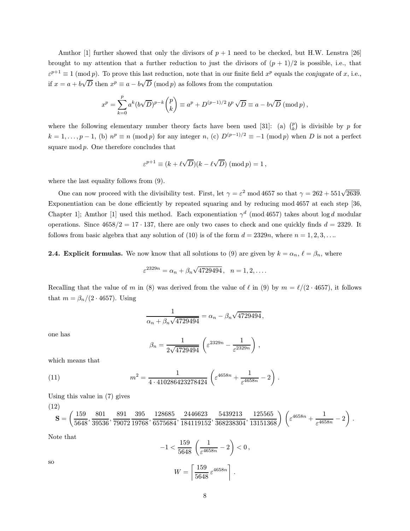Amthor [1] further showed that only the divisors of  $p + 1$  need to be checked, but H.W. Lenstra [26] brought to my attention that a further reduction to just the divisors of  $(p + 1)/2$  is possible, i.e., that  $\varepsilon^{p+1} \equiv 1 \pmod{p}$ . To prove this last reduction, note that in our finite field  $x^p$  equals the conjugate of x, i.e., if  $x = a + b$  $\sqrt{D}$  then  $x^p \equiv a - b\sqrt{D}$  $D \pmod{p}$  as follows from the computation

$$
x^{p} = \sum_{k=0}^{p} a^{k} (b\sqrt{D})^{p-k} {p \choose k} \equiv a^{p} + D^{(p-1)/2} b^{p} \sqrt{D} \equiv a - b\sqrt{D} \pmod{p},
$$

where the following elementary number theory facts have been used [31]: (a)  $\binom{p}{k}$  is divisible by p for  $k = 1, \ldots, p-1$ , (b)  $n^p \equiv n \pmod{p}$  for any integer n, (c)  $D^{(p-1)/2} \equiv -1 \pmod{p}$  when D is not a perfect square  $mod p$ . One therefore concludes that

$$
\varepsilon^{p+1} \equiv (k + \ell \sqrt{D})(k - \ell \sqrt{D}) \pmod{p} = 1,
$$

where the last equality follows from (9).

One can now proceed with the divisibility test. First, let  $\gamma = \varepsilon^2 \mod 4657$  so that  $\gamma = 262 + 551\sqrt{2639}$ . Exponentiation can be done efficiently by repeated squaring and by reducing mod 4657 at each step [36, Chapter 1]; Amthor [1] used this method. Each exponentiation  $\gamma^d$  (mod 4657) takes about log d modular operations. Since  $4658/2 = 17 \cdot 137$ , there are only two cases to check and one quickly finds  $d = 2329$ . It follows from basic algebra that any solution of (10) is of the form  $d = 2329n$ , where  $n = 1, 2, 3, \ldots$ 

**2.4. Explicit formulas.** We now know that all solutions to (9) are given by  $k = \alpha_n$ ,  $\ell = \beta_n$ , where

$$
\varepsilon^{2329n} = \alpha_n + \beta_n \sqrt{4729494}, \quad n = 1, 2, ....
$$

Recalling that the value of m in (8) was derived from the value of  $\ell$  in (9) by  $m = \ell/(2 \cdot 4657)$ , it follows that  $m = \beta_n/(2 \cdot 4657)$ . Using

$$
\frac{1}{\alpha_n + \beta_n \sqrt{4729494}} = \alpha_n - \beta_n \sqrt{4729494},
$$

one has

$$
\beta_n = \frac{1}{2\sqrt{4729494}} \left( \varepsilon^{2329n} - \frac{1}{\varepsilon^{2329n}} \right),
$$

which means that

(11) 
$$
m^2 = \frac{1}{4 \cdot 410286423278424} \left( \varepsilon^{4658n} + \frac{1}{\varepsilon^{4658n}} - 2 \right).
$$

Using this value in (7) gives

$$
\mathbf{S} = \left(\frac{159}{5648}, \frac{801}{39536}, \frac{891}{79072}, \frac{395}{19768}, \frac{128685}{6575684}, \frac{2446623}{184119152}, \frac{5439213}{368238304}, \frac{125565}{13151368}\right) \left(\varepsilon^{4658n} + \frac{1}{\varepsilon^{4658n}} - 2\right).
$$

Note that

 $(12)$ 

so 
$$
-1 < \frac{159}{5648} \left( \frac{1}{\varepsilon^{4658n}} - 2 \right) < 0,
$$

$$
W = \left\lceil \frac{159}{5648} \varepsilon^{4658n} \right\rceil.
$$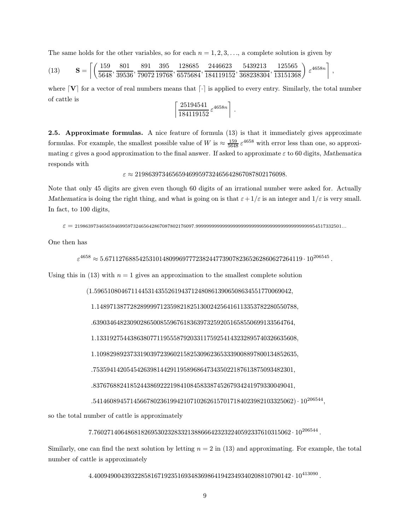The same holds for the other variables, so for each  $n = 1, 2, 3, \ldots$ , a complete solution is given by

$$
(13) \qquad \mathbf{S} = \left[ \left( \frac{159}{5648}, \frac{801}{39536}, \frac{891}{79072}, \frac{395}{19768}, \frac{128685}{6575684}, \frac{2446623}{184119152}, \frac{5439213}{368238304}, \frac{125565}{13151368} \right) \epsilon^{4658n} \right],
$$

where  $\mathbf{V}$  for a vector of real numbers means that  $\lceil \cdot \rceil$  is applied to every entry. Similarly, the total number of cattle is

$$
\left\lceil \frac{25194541}{184119152} \varepsilon^{4658n} \right\rceil.
$$

2.5. Approximate formulas. A nice feature of formula (13) is that it immediately gives approximate formulas. For example, the smallest possible value of W is  $\approx \frac{159}{5648} \varepsilon^{4658}$  with error less than one, so approximating  $\varepsilon$  gives a good approximation to the final answer. If asked to approximate  $\varepsilon$  to 60 digits, Mathematica responds with

 $\varepsilon \approx 219863973465659469959732465642867087802176098.$ 

Note that only 45 digits are given even though 60 digits of an irrational number were asked for. Actually Mathematica is doing the right thing, and what is going on is that  $\varepsilon + 1/\varepsilon$  is an integer and  $1/\varepsilon$  is very small. In fact, to 100 digits,

ε = <sup>219863973465659469959732465642867087802176097</sup>.9999999999999999999999999999999999999999999954517332501...

One then has

 $\varepsilon^{4658} \approx 5.67112768854253101480996977723824477390782365262860627264119 \cdot 10^{206545}$ .

Using this in  $(13)$  with  $n = 1$  gives an approximation to the smallest complete solution

(1.59651080467114453143552619437124808613906508634551770069042,

1.148971387728289999712359821825130024256416113353782280550788,

.639034648230902865008559676183639732592051658550699133564764,

1.133192754438638077119555879203311759254143232895740326635608,

1.109829892373319039723960215825309623653339008897800134852635,

.753594142054542639814429119589686473435022187613875093482301,

.837676882418524438692221984108458338745267934241979330049041,

 $.541460894571456678023619942107102626157017184023982103325062)\cdot 10^{206544},$ 

so the total number of cattle is approximately

 $7.76027140648681826953023283321388666423232240592337610315062\cdot 10^{206544}\,.$ 

Similarly, one can find the next solution by letting  $n = 2$  in (13) and approximating. For example, the total number of cattle is approximately

 $4.40094900439322858167192351693483698641942349340208810790142\cdot 10^{413090}\,.$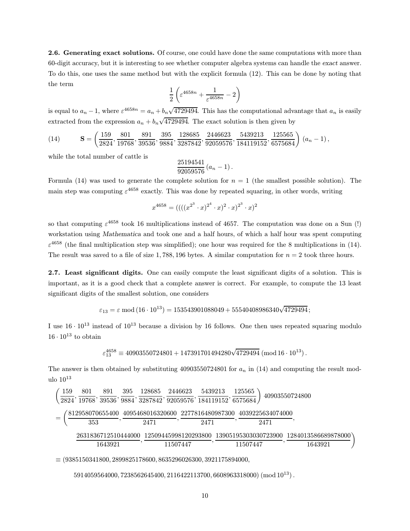2.6. Generating exact solutions. Of course, one could have done the same computations with more than 60-digit accuracy, but it is interesting to see whether computer algebra systems can handle the exact answer. To do this, one uses the same method but with the explicit formula (12). This can be done by noting that the term

$$
\frac{1}{2}\left(\varepsilon^{4658n} + \frac{1}{\varepsilon^{4658n}} - 2\right)
$$

is equal to  $a_n - 1$ , where  $\varepsilon^{4658n} = a_n + b_n \sqrt{4729494}$ . This has the computational advantage that  $a_n$  is easily extracted from the expression  $a_n + b_n \sqrt{4729494}$ . The exact solution is then given by

$$
(14) \qquad \qquad \mathbf{S} = \left(\frac{159}{2824}, \frac{801}{19768}, \frac{891}{39536}, \frac{395}{9884}, \frac{128685}{3287842}, \frac{2446623}{92059576}, \frac{5439213}{184119152}, \frac{125565}{6575684}\right) (a_n - 1),
$$

while the total number of cattle is

$$
\frac{25194541}{92059576} (a_n - 1).
$$

Formula (14) was used to generate the complete solution for  $n = 1$  (the smallest possible solution). The main step was computing  $\varepsilon^{4658}$  exactly. This was done by repeated squaring, in other words, writing

$$
x^{4658} = (((x^{2^3} \cdot x)^{2^4} \cdot x)^2 \cdot x)^{2^3} \cdot x)^2
$$

so that computing  $\varepsilon^{4658}$  took 16 multiplications instead of 4657. The computation was done on a Sun (!) workstation using Mathematica and took one and a half hours, of which a half hour was spent computing  $\varepsilon^{4658}$  (the final multiplication step was simplified); one hour was required for the 8 multiplications in (14). The result was saved to a file of size 1, 788, 196 bytes. A similar computation for  $n = 2$  took three hours.

2.7. Least significant digits. One can easily compute the least significant digits of a solution. This is important, as it is a good check that a complete answer is correct. For example, to compute the 13 least significant digits of the smallest solution, one considers

$$
\varepsilon_{13} = \varepsilon \bmod(16 \cdot 10^{13}) = 153543901088049 + 55540408986340\sqrt{4729494};
$$

I use  $16 \cdot 10^{13}$  instead of  $10^{13}$  because a division by 16 follows. One then uses repeated squaring modulo  $16 \cdot 10^{13}$  to obtain

 $\varepsilon_{13}^{4658} \equiv 40903550724801 + 147391701494280 \sqrt{4729494} \, (\text{mod}\, 16 \cdot 10^{13}) \,.$ 

The answer is then obtained by substituting  $40903550724801$  for  $a_n$  in (14) and computing the result modulo  $10^{13}$ 

$$
\left(\frac{159}{2824}, \frac{801}{19768}, \frac{891}{39536}, \frac{395}{9884}, \frac{128685}{3287842}, \frac{2446623}{92059576}, \frac{5439213}{184119152}, \frac{125565}{6575684}\right) \rightleftharpoons 40903550724800
$$
\n
$$
= \left(\frac{812958070655400}{353}, \frac{4095468016320600}{2471}, \frac{2277816480987300}{2471}, \frac{4039225634074000}{2471}, \frac{2471}{2471}\right)
$$
\n
$$
\frac{2631836712510444000}{1643921}, \frac{12509445998120293800}{11507447}, \frac{13905195303030723900}{11507447}, \frac{1284013586689878000}{1643921}\right)
$$

 $\equiv (9385150341800, 2899825178600, 8635296026300, 3921175894000,$ 

 $5914059564000, 7238562645400, 2116422113700, 6608963318000)$  (mod  $10^{13}$ ).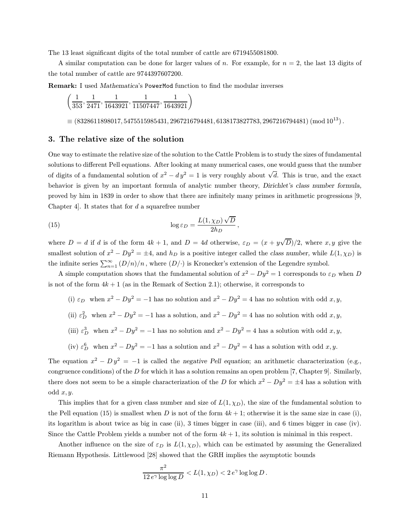The 13 least significant digits of the total number of cattle are 6719455081800.

A similar computation can be done for larger values of n. For example, for  $n = 2$ , the last 13 digits of the total number of cattle are 9744397607200.

Remark: I used Mathematica's PowerMod function to find the modular inverses

 $\left(\frac{1}{353}, \frac{1}{2471}, \frac{1}{1643921}, \frac{1}{11507447}, \frac{1}{1643921}\right)$ 

 $\equiv$  (8328611898017, 5475515985431, 2967216794481, 6138173827783, 2967216794481) (mod 10<sup>13</sup>).

### 3. The relative size of the solution

One way to estimate the relative size of the solution to the Cattle Problem is to study the sizes of fundamental solutions to different Pell equations. After looking at many numerical cases, one would guess that the number of digits of a fundamental solution of  $x^2 - dy^2 = 1$  is very roughly about  $\sqrt{d}$ . This is true, and the exact behavior is given by an important formula of analytic number theory, Dirichlet's class number formula, proved by him in 1839 in order to show that there are infinitely many primes in arithmetic progressions [9, Chapter 4. It states that for  $d$  a squarefree number

(15) 
$$
\log \varepsilon_D = \frac{L(1,\chi_D)\sqrt{D}}{2h_D},
$$

where  $D = d$  if d is of the form  $4k + 1$ , and  $D = 4d$  otherwise,  $\varepsilon_D = (x + y)$ √  $D/2$ , where  $x, y$  give the smallest solution of  $x^2 - Dy^2 = \pm 4$ , and  $h_D$  is a positive integer called the class number, while  $L(1, \chi_D)$  is the infinite series  $\sum_{n=1}^{\infty} (D/n)/n$ , where  $(D/\cdot)$  is Kronecker's extension of the Legendre symbol.

A simple computation shows that the fundamental solution of  $x^2 - Dy^2 = 1$  corresponds to  $\varepsilon_D$  when D is not of the form  $4k + 1$  (as in the Remark of Section 2.1); otherwise, it corresponds to

- (i)  $\varepsilon_D$  when  $x^2 Dy^2 = -1$  has no solution and  $x^2 Dy^2 = 4$  has no solution with odd x, y,
- (ii)  $\varepsilon_D^2$  when  $x^2 Dy^2 = -1$  has a solution, and  $x^2 Dy^2 = 4$  has no solution with odd  $x, y$ ,
- (iii)  $\varepsilon_D^3$  when  $x^2 Dy^2 = -1$  has no solution and  $x^2 Dy^2 = 4$  has a solution with odd  $x, y$ ,
- (iv)  $\varepsilon_D^6$  when  $x^2 Dy^2 = -1$  has a solution and  $x^2 Dy^2 = 4$  has a solution with odd x, y.

The equation  $x^2 - Dy^2 = -1$  is called the negative Pell equation; an arithmetic characterization (e.g., congruence conditions) of the D for which it has a solution remains an open problem [7, Chapter 9]. Similarly, there does not seem to be a simple characterization of the D for which  $x^2 - Dy^2 = \pm 4$  has a solution with odd  $x, y$ .

This implies that for a given class number and size of  $L(1, \chi_D)$ , the size of the fundamental solution to the Pell equation (15) is smallest when D is not of the form  $4k + 1$ ; otherwise it is the same size in case (i), its logarithm is about twice as big in case (ii), 3 times bigger in case (iii), and 6 times bigger in case (iv). Since the Cattle Problem yields a number not of the form  $4k + 1$ , its solution is minimal in this respect.

Another influence on the size of  $\varepsilon_D$  is  $L(1,\chi_D)$ , which can be estimated by assuming the Generalized Riemann Hypothesis. Littlewood [28] showed that the GRH implies the asymptotic bounds

$$
\frac{\pi^2}{12 e^{\gamma} \log \log D} < L(1, \chi_D) < 2 e^{\gamma} \log \log D \, .
$$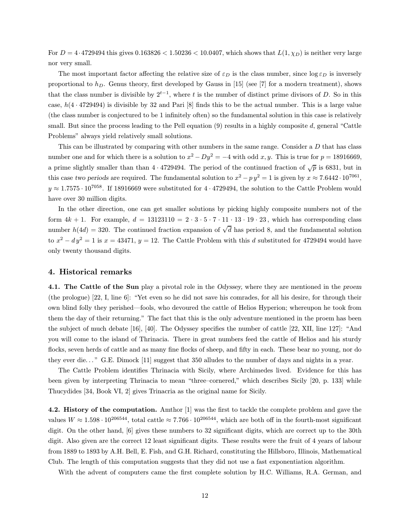For  $D = 4.4729494$  this gives  $0.163826 < 1.50236 < 10.0407$ , which shows that  $L(1, \chi_D)$  is neither very large nor very small.

The most important factor affecting the relative size of  $\varepsilon_D$  is the class number, since  $\log \varepsilon_D$  is inversely proportional to  $h_D$ . Genus theory, first developed by Gauss in [15] (see [7] for a modern treatment), shows that the class number is divisible by  $2^{t-1}$ , where t is the number of distinct prime divisors of D. So in this case,  $h(4 \cdot 4729494)$  is divisible by 32 and Pari [8] finds this to be the actual number. This is a large value (the class number is conjectured to be 1 infinitely often) so the fundamental solution in this case is relatively small. But since the process leading to the Pell equation  $(9)$  results in a highly composite  $d$ , general "Cattle Problems" always yield relatively small solutions.

This can be illustrated by comparing with other numbers in the same range. Consider a D that has class number one and for which there is a solution to  $x^2 - Dy^2 = -4$  with odd x, y. This is true for  $p = 18916669$ . a prime slightly smaller than than  $4 \cdot 4729494$ . The period of the continued fraction of  $\sqrt{p}$  is 6831, but in this case two periods are required. The fundamental solution to  $x^2 - py^2 = 1$  is given by  $x \approx 7.6442 \cdot 10^{7061}$ .  $y \approx 1.7575 \cdot 10^{7058}$ . If 18916669 were substituted for 4 · 4729494, the solution to the Cattle Problem would have over 30 million digits.

In the other direction, one can get smaller solutions by picking highly composite numbers not of the form  $4k + 1$ . For example,  $d = 13123110 = 2 \cdot 3 \cdot 5 \cdot 7 \cdot 11 \cdot 13 \cdot 19 \cdot 23$ , which has corresponding class number  $h(4d) = 320$ . The continued fraction expansion of  $\sqrt{d}$  has period 8, and the fundamental solution to  $x^2 - dy^2 = 1$  is  $x = 43471$ ,  $y = 12$ . The Cattle Problem with this d substituted for 4729494 would have only twenty thousand digits.

#### 4. Historical remarks

4.1. The Cattle of the Sun play a pivotal role in the Odyssey, where they are mentioned in the proem (the prologue) [22, I, line 6]: "Yet even so he did not save his comrades, for all his desire, for through their own blind folly they perished—fools, who devoured the cattle of Helios Hyperion; whereupon he took from them the day of their returning." The fact that this is the only adventure mentioned in the proem has been the subject of much debate [16], [40]. The Odyssey specifies the number of cattle [22, XII, line 127]: "And you will come to the island of Thrinacia. There in great numbers feed the cattle of Helios and his sturdy flocks, seven herds of cattle and as many fine flocks of sheep, and fifty in each. These bear no young, nor do they ever die. . . " G.E. Dimock [11] suggest that 350 alludes to the number of days and nights in a year.

The Cattle Problem identifies Thrinacia with Sicily, where Archimedes lived. Evidence for this has been given by interpreting Thrinacia to mean "three–cornered," which describes Sicily [20, p. 133] while Thucydides [34, Book VI, 2] gives Trinacria as the original name for Sicily.

4.2. History of the computation. Amthor [1] was the first to tackle the complete problem and gave the values  $W \approx 1.598 \cdot 10^{206544}$ , total cattle  $\approx 7.766 \cdot 10^{206544}$ , which are both off in the fourth-most significant digit. On the other hand, [6] gives these numbers to 32 significant digits, which are correct up to the 30th digit. Also given are the correct 12 least significant digits. These results were the fruit of 4 years of labour from 1889 to 1893 by A.H. Bell, E. Fish, and G.H. Richard, constituting the Hillsboro, Illinois, Mathematical Club. The length of this computation suggests that they did not use a fast exponentiation algorithm.

With the advent of computers came the first complete solution by H.C. Williams, R.A. German, and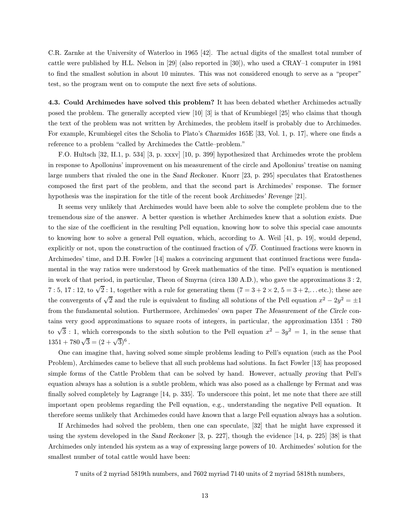C.R. Zarnke at the University of Waterloo in 1965 [42]. The actual digits of the smallest total number of cattle were published by H.L. Nelson in [29] (also reported in [30]), who used a CRAY–1 computer in 1981 to find the smallest solution in about 10 minutes. This was not considered enough to serve as a "proper" test, so the program went on to compute the next five sets of solutions.

4.3. Could Archimedes have solved this problem? It has been debated whether Archimedes actually posed the problem. The generally accepted view [10] [3] is that of Krumbiegel [25] who claims that though the text of the problem was not written by Archimedes, the problem itself is probably due to Archimedes. For example, Krumbiegel cites the Scholia to Plato's Charmides 165E [33, Vol. 1, p. 17], where one finds a reference to a problem "called by Archimedes the Cattle–problem."

F.O. Hultsch [32, II.1, p. 534] [3, p. xxxv] [10, p. 399] hypothesized that Archimedes wrote the problem in response to Apollonius' improvement on his measurement of the circle and Apollonius' treatise on naming large numbers that rivaled the one in the Sand Reckoner. Knorr [23, p. 295] speculates that Eratosthenes composed the first part of the problem, and that the second part is Archimedes' response. The former hypothesis was the inspiration for the title of the recent book Archimedes' Revenge [21].

It seems very unlikely that Archimedes would have been able to solve the complete problem due to the tremendous size of the answer. A better question is whether Archimedes knew that a solution exists. Due to the size of the coefficient in the resulting Pell equation, knowing how to solve this special case amounts to knowing how to solve a general Pell equation, which, according to A. Weil [41, p. 19], would depend, explicitly or not, upon the construction of the continued fraction of  $\sqrt{D}$ . Continued fractions were known in Archimedes' time, and D.H. Fowler [14] makes a convincing argument that continued fractions were fundamental in the way ratios were understood by Greek mathematics of the time. Pell's equation is mentioned in work of that period, in particular, Theon of Smyrna (circa 130 A.D.), who gave the approximations 3 : 2, 7 : 5, 17 : 12, to  $\sqrt{2}$  : 1, together with a rule for generating them  $(7 = 3 + 2 \times 2, 5 = 3 + 2,...$  etc.); these are the convergents of  $\sqrt{2}$  and the rule is equivalent to finding all solutions of the Pell equation  $x^2 - 2y^2 = \pm 1$ from the fundamental solution. Furthermore, Archimedes' own paper The Measurement of the Circle contains very good approximations to square roots of integers, in particular, the approximation 1351 : 780 to  $\sqrt{3}$ : 1, which corresponds to the sixth solution to the Pell equation  $x^2 - 3y^2 = 1$ , in the sense that  $1351 + 780\sqrt{3} = (2 + \sqrt{3})^6$ .

One can imagine that, having solved some simple problems leading to Pell's equation (such as the Pool Problem), Archimedes came to believe that all such problems had solutions. In fact Fowler [13] has proposed simple forms of the Cattle Problem that can be solved by hand. However, actually proving that Pell's equation always has a solution is a subtle problem, which was also posed as a challenge by Fermat and was finally solved completely by Lagrange [14, p. 335]. To underscore this point, let me note that there are still important open problems regarding the Pell equation, e.g., understanding the negative Pell equation. It therefore seems unlikely that Archimedes could have known that a large Pell equation always has a solution.

If Archimedes had solved the problem, then one can speculate, [32] that he might have expressed it using the system developed in the Sand Reckoner [3, p. 227], though the evidence [14, p. 225] [38] is that Archimedes only intended his system as a way of expressing large powers of 10. Archimedes' solution for the smallest number of total cattle would have been:

7 units of 2 myriad 5819th numbers, and 7602 myriad 7140 units of 2 myriad 5818th numbers,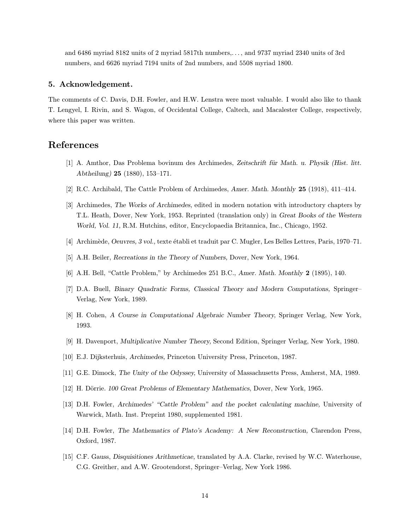and 6486 myriad 8182 units of 2 myriad 5817th numbers,. . . , and 9737 myriad 2340 units of 3rd numbers, and 6626 myriad 7194 units of 2nd numbers, and 5508 myriad 1800.

### 5. Acknowledgement.

The comments of C. Davis, D.H. Fowler, and H.W. Lenstra were most valuable. I would also like to thank T. Lengyel, I. Rivin, and S. Wagon, of Occidental College, Caltech, and Macalester College, respectively, where this paper was written.

# References

- [1] A. Amthor, Das Problema bovinum des Archimedes, Zeitschrift für Math. u. Physik (Hist. litt. Abtheilung) 25 (1880), 153–171.
- [2] R.C. Archibald, The Cattle Problem of Archimedes, Amer. Math. Monthly 25 (1918), 411–414.
- [3] Archimedes, The Works of Archimedes, edited in modern notation with introductory chapters by T.L. Heath, Dover, New York, 1953. Reprinted (translation only) in Great Books of the Western World, Vol. 11, R.M. Hutchins, editor, Encyclopaedia Britannica, Inc., Chicago, 1952.
- [4] Archim`ede, Oeuvres, 3 vol., texte ´etabli et traduit par C. Mugler, Les Belles Lettres, Paris, 1970–71.
- [5] A.H. Beiler, Recreations in the Theory of Numbers, Dover, New York, 1964.
- [6] A.H. Bell, "Cattle Problem," by Archimedes 251 B.C., Amer. Math. Monthly 2 (1895), 140.
- [7] D.A. Buell, Binary Quadratic Forms, Classical Theory and Modern Computations, Springer– Verlag, New York, 1989.
- [8] H. Cohen, A Course in Computational Algebraic Number Theory, Springer Verlag, New York, 1993.
- [9] H. Davenport, Multiplicative Number Theory, Second Edition, Springer Verlag, New York, 1980.
- [10] E.J. Dijksterhuis, Archimedes, Princeton University Press, Princeton, 1987.
- [11] G.E. Dimock, The Unity of the Odyssey, University of Massachusetts Press, Amherst, MA, 1989.
- [12] H. Dörrie. 100 Great Problems of Elementary Mathematics, Dover, New York, 1965.
- [13] D.H. Fowler, Archimedes' "Cattle Problem" and the pocket calculating machine, University of Warwick, Math. Inst. Preprint 1980, supplemented 1981.
- [14] D.H. Fowler, The Mathematics of Plato's Academy: A New Reconstruction, Clarendon Press, Oxford, 1987.
- [15] C.F. Gauss, Disquisitiones Arithmeticae, translated by A.A. Clarke, revised by W.C. Waterhouse, C.G. Greither, and A.W. Grootendorst, Springer–Verlag, New York 1986.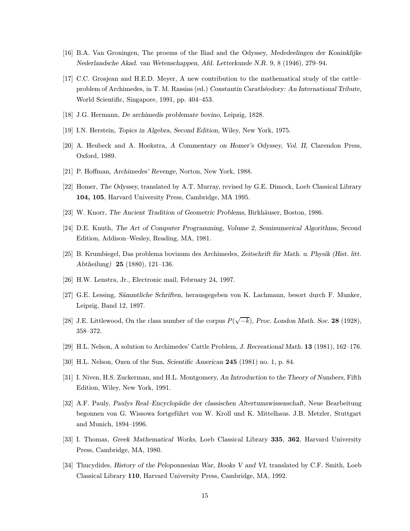- [16] B.A. Van Groningen, The proems of the Iliad and the Odyssey, Mededeelingen der Koninklijke Nederlandsche Akad. van Wetenschappen, Afd. Letterkunde N.R. 9, 8 (1946), 279–94.
- [17] C.C. Grosjean and H.E.D. Meyer, A new contribution to the mathematical study of the cattle– problem of Archimedes, in T. M. Rassias (ed.) Constantin Carathéodory: An International Tribute, World Scientific, Singapore, 1991, pp. 404–453.
- [18] J.G. Hermann, De archimedis problemate bovino, Leipzig, 1828.
- [19] I.N. Herstein, Topics in Algebra, Second Edition, Wiley, New York, 1975.
- [20] A. Heubeck and A. Hoekstra, A Commentary on Homer's Odyssey, Vol. II, Clarendon Press, Oxford, 1989.
- [21] P. Hoffman, Archimedes' Revenge, Norton, New York, 1988.
- [22] Homer, The Odyssey, translated by A.T. Murray, revised by G.E. Dimock, Loeb Classical Library 104, 105, Harvard University Press, Cambridge, MA 1995.
- [23] W. Knorr, The Ancient Tradition of Geometric Problems, Birkhäuser, Boston, 1986.
- [24] D.E. Knuth, The Art of Computer Programming, Volume 2, Seminumerical Algorithms, Second Edition, Addison–Wesley, Reading, MA, 1981.
- [25] B. Krumbiegel, Das problema bovinum des Archimedes, Zeitschrift für Math. u. Physik (Hist. litt. Abtheilung) 25 (1880), 121–136.
- [26] H.W. Lenstra, Jr., Electronic mail, February 24, 1997.
- [27] G.E. Lessing, Sämmtliche Schriften, herausgegeben von K. Lachmann, besort durch F. Munker, Leipzig, Band 12, 1897.
- [28] J.E. Littlewood, On the class number of the corpus  $P(\sqrt{-k})$ , Proc. London Math. Soc. 28 (1928), 358–372.
- [29] H.L. Nelson, A solution to Archimedes' Cattle Problem, J. Recreational Math. 13 (1981), 162–176.
- [30] H.L. Nelson, Oxen of the Sun, Scientific American 245 (1981) no. 1, p. 84.
- [31] I. Niven, H.S. Zuckerman, and H.L. Montgomery, An Introduction to the Theory of Numbers, Fifth Edition, Wiley, New York, 1991.
- [32] A.F. Pauly, Paulys Real–Encyclopädie der classischen Altertumswissenschaft, Neue Bearbeitung begonnen von G. Wissowa fortgeführt von W. Kroll und K. Mittelhaus. J.B. Metzler, Stuttgart and Munich, 1894–1996.
- [33] I. Thomas, Greek Mathematical Works, Loeb Classical Library 335, 362, Harvard University Press, Cambridge, MA, 1980.
- [34] Thucydides, History of the Peloponnesian War, Books V and VI, translated by C.F. Smith, Loeb Classical Library 110, Harvard University Press, Cambridge, MA, 1992.